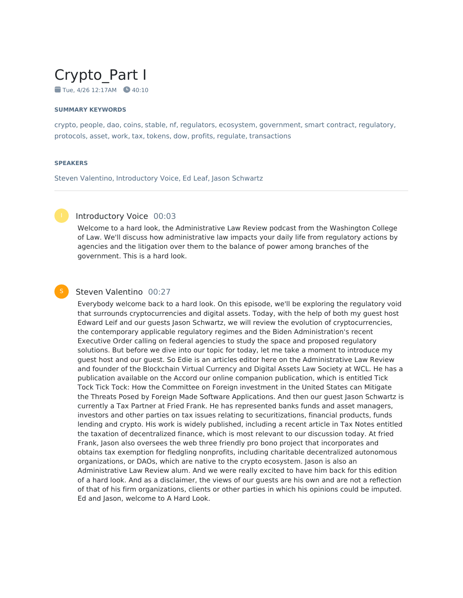# Crypto\_Part I

 $\blacksquare$  Tue, 4/26 12:17AM  $\blacksquare$  40:10

#### **SUMMARY KEYWORDS**

crypto, people, dao, coins, stable, nf, regulators, ecosystem, government, smart contract, regulatory, protocols, asset, work, tax, tokens, dow, profits, regulate, transactions

#### **SPEAKERS**

Steven Valentino, Introductory Voice, Ed Leaf, Jason Schwartz



# Introductory Voice 00:03

Welcome to a hard look, the Administrative Law Review podcast from the Washington College of Law. We'll discuss how administrative law impacts your daily life from regulatory actions by agencies and the litigation over them to the balance of power among branches of the government. This is a hard look.



# Steven Valentino 00:27

Everybody welcome back to a hard look. On this episode, we'll be exploring the regulatory void that surrounds cryptocurrencies and digital assets. Today, with the help of both my guest host Edward Leif and our guests Jason Schwartz, we will review the evolution of cryptocurrencies, the contemporary applicable regulatory regimes and the Biden Administration's recent Executive Order calling on federal agencies to study the space and proposed regulatory solutions. But before we dive into our topic for today, let me take a moment to introduce my guest host and our guest. So Edie is an articles editor here on the Administrative Law Review and founder of the Blockchain Virtual Currency and Digital Assets Law Society at WCL. He has a publication available on the Accord our online companion publication, which is entitled Tick Tock Tick Tock: How the Committee on Foreign investment in the United States can Mitigate the Threats Posed by Foreign Made Software Applications. And then our guest Jason Schwartz is currently a Tax Partner at Fried Frank. He has represented banks funds and asset managers, investors and other parties on tax issues relating to securitizations, financial products, funds lending and crypto. His work is widely published, including a recent article in Tax Notes entitled the taxation of decentralized finance, which is most relevant to our discussion today. At fried Frank, Jason also oversees the web three friendly pro bono project that incorporates and obtains tax exemption for fledgling nonprofits, including charitable decentralized autonomous organizations, or DAOs, which are native to the crypto ecosystem. Jason is also an Administrative Law Review alum. And we were really excited to have him back for this edition of a hard look. And as a disclaimer, the views of our guests are his own and are not a reflection of that of his firm organizations, clients or other parties in which his opinions could be imputed. Ed and Jason, welcome to A Hard Look.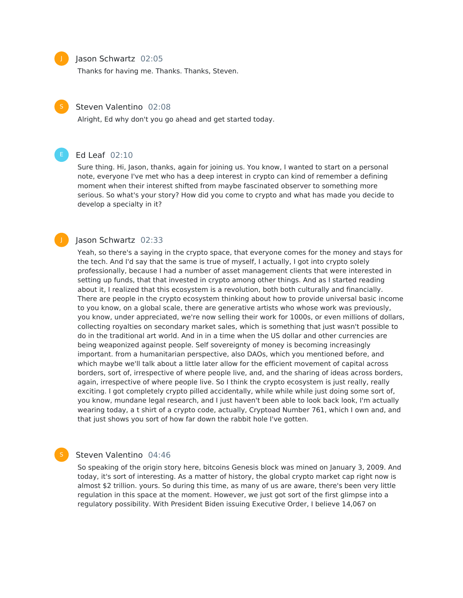#### Jason Schwartz 02:05

Thanks for having me. Thanks. Thanks, Steven.



#### Steven Valentino 02:08

Alright, Ed why don't you go ahead and get started today.



J

# Ed Leaf 02:10

Sure thing. Hi, Jason, thanks, again for joining us. You know, I wanted to start on a personal note, everyone I've met who has a deep interest in crypto can kind of remember a defining moment when their interest shifted from maybe fascinated observer to something more serious. So what's your story? How did you come to crypto and what has made you decide to develop a specialty in it?

#### Jason Schwartz 02:33

Yeah, so there's a saying in the crypto space, that everyone comes for the money and stays for the tech. And I'd say that the same is true of myself, I actually, I got into crypto solely professionally, because I had a number of asset management clients that were interested in setting up funds, that that invested in crypto among other things. And as I started reading about it, I realized that this ecosystem is a revolution, both both culturally and financially. There are people in the crypto ecosystem thinking about how to provide universal basic income to you know, on a global scale, there are generative artists who whose work was previously, you know, under appreciated, we're now selling their work for 1000s, or even millions of dollars, collecting royalties on secondary market sales, which is something that just wasn't possible to do in the traditional art world. And in in a time when the US dollar and other currencies are being weaponized against people. Self sovereignty of money is becoming increasingly important. from a humanitarian perspective, also DAOs, which you mentioned before, and which maybe we'll talk about a little later allow for the efficient movement of capital across borders, sort of, irrespective of where people live, and, and the sharing of ideas across borders, again, irrespective of where people live. So I think the crypto ecosystem is just really, really exciting. I got completely crypto pilled accidentally, while while while just doing some sort of, you know, mundane legal research, and I just haven't been able to look back look, I'm actually wearing today, a t shirt of a crypto code, actually, Cryptoad Number 761, which I own and, and that just shows you sort of how far down the rabbit hole I've gotten.

### Steven Valentino 04:46

So speaking of the origin story here, bitcoins Genesis block was mined on January 3, 2009. And today, it's sort of interesting. As a matter of history, the global crypto market cap right now is almost \$2 trillion. yours. So during this time, as many of us are aware, there's been very little regulation in this space at the moment. However, we just got sort of the first glimpse into a regulatory possibility. With President Biden issuing Executive Order, I believe 14,067 on

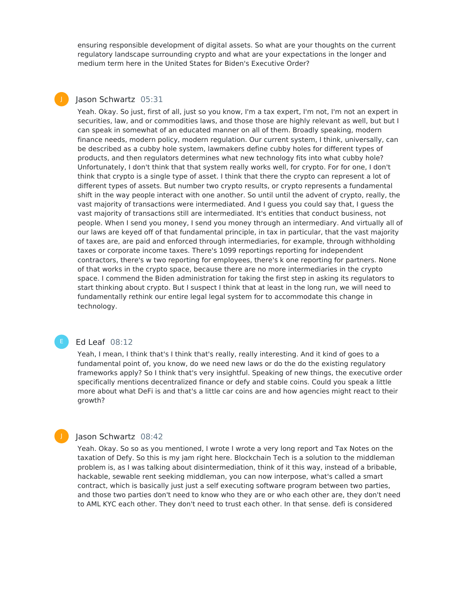ensuring responsible development of digital assets. So what are your thoughts on the current regulatory landscape surrounding crypto and what are your expectations in the longer and medium term here in the United States for Biden's Executive Order?

# Jason Schwartz 05:31

J

Yeah. Okay. So just, first of all, just so you know, I'm a tax expert, I'm not, I'm not an expert in securities, law, and or commodities laws, and those those are highly relevant as well, but but I can speak in somewhat of an educated manner on all of them. Broadly speaking, modern finance needs, modern policy, modern regulation. Our current system, I think, universally, can be described as a cubby hole system, lawmakers define cubby holes for different types of products, and then regulators determines what new technology fits into what cubby hole? Unfortunately, I don't think that that system really works well, for crypto. For for one, I don't think that crypto is a single type of asset. I think that there the crypto can represent a lot of different types of assets. But number two crypto results, or crypto represents a fundamental shift in the way people interact with one another. So until until the advent of crypto, really, the vast majority of transactions were intermediated. And I guess you could say that, I guess the vast majority of transactions still are intermediated. It's entities that conduct business, not people. When I send you money, I send you money through an intermediary. And virtually all of our laws are keyed off of that fundamental principle, in tax in particular, that the vast majority of taxes are, are paid and enforced through intermediaries, for example, through withholding taxes or corporate income taxes. There's 1099 reportings reporting for independent contractors, there's w two reporting for employees, there's k one reporting for partners. None of that works in the crypto space, because there are no more intermediaries in the crypto space. I commend the Biden administration for taking the first step in asking its regulators to start thinking about crypto. But I suspect I think that at least in the long run, we will need to fundamentally rethink our entire legal legal system for to accommodate this change in technology.

# Ed Leaf 08:12

Yeah, I mean, I think that's I think that's really, really interesting. And it kind of goes to a fundamental point of, you know, do we need new laws or do the do the existing regulatory frameworks apply? So I think that's very insightful. Speaking of new things, the executive order specifically mentions decentralized finance or defy and stable coins. Could you speak a little more about what DeFi is and that's a little car coins are and how agencies might react to their growth?

### Jason Schwartz 08:42

Yeah. Okay. So so as you mentioned, I wrote I wrote a very long report and Tax Notes on the taxation of Defy. So this is my jam right here. Blockchain Tech is a solution to the middleman problem is, as I was talking about disintermediation, think of it this way, instead of a bribable, hackable, sewable rent seeking middleman, you can now interpose, what's called a smart contract, which is basically just just a self executing software program between two parties, and those two parties don't need to know who they are or who each other are, they don't need to AML KYC each other. They don't need to trust each other. In that sense. defi is considered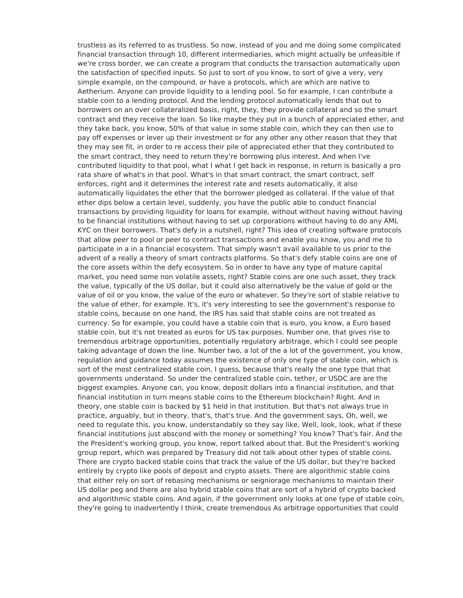trustless as its referred to as trustless. So now, instead of you and me doing some complicated financial transaction through 10, different intermediaries, which might actually be unfeasible if we're cross border, we can create a program that conducts the transaction automatically upon the satisfaction of specified inputs. So just to sort of you know, to sort of give a very, very simple example, on the compound, or have a protocols, which are which are native to Aetherium. Anyone can provide liquidity to a lending pool. So for example, I can contribute a stable coin to a lending protocol. And the lending protocol automatically lends that out to borrowers on an over collateralized basis, right, they, they provide collateral and so the smart contract and they receive the loan. So like maybe they put in a bunch of appreciated ether, and they take back, you know, 50% of that value in some stable coin, which they can then use to pay off expenses or lever up their investment or for any other any other reason that they that they may see fit, in order to re access their pile of appreciated ether that they contributed to the smart contract, they need to return they're borrowing plus interest. And when I've contributed liquidity to that pool, what I what I get back in response, in return is basically a pro rata share of what's in that pool. What's in that smart contract, the smart contract, self enforces, right and it determines the interest rate and resets automatically, it also automatically liquidates the ether that the borrower pledged as collateral. If the value of that ether dips below a certain level, suddenly, you have the public able to conduct financial transactions by providing liquidity for loans for example, without without having without having to be financial institutions without having to set up corporations without having to do any AML KYC on their borrowers. That's defy in a nutshell, right? This idea of creating software protocols that allow peer to pool or peer to contract transactions and enable you know, you and me to participate in a in a financial ecosystem. That simply wasn't avail available to us prior to the advent of a really a theory of smart contracts platforms. So that's defy stable coins are one of the core assets within the defy ecosystem. So in order to have any type of mature capital market, you need some non volatile assets, right? Stable coins are one such asset, they track the value, typically of the US dollar, but it could also alternatively be the value of gold or the value of oil or you know, the value of the euro or whatever. So they're sort of stable relative to the value of ether, for example. It's, it's very interesting to see the government's response to stable coins, because on one hand, the IRS has said that stable coins are not treated as currency. So for example, you could have a stable coin that is euro, you know, a Euro based stable coin, but it's not treated as euros for US tax purposes. Number one, that gives rise to tremendous arbitrage opportunities, potentially regulatory arbitrage, which I could see people taking advantage of down the line. Number two, a lot of the a lot of the government, you know, regulation and guidance today assumes the existence of only one type of stable coin, which is sort of the most centralized stable coin, I guess, because that's really the one type that that governments understand. So under the centralized stable coin, tether, or USDC are are the biggest examples. Anyone can, you know, deposit dollars into a financial institution, and that financial institution in turn means stable coins to the Ethereum blockchain? Right. And in theory, one stable coin is backed by \$1 held in that institution. But that's not always true in practice, arguably, but in theory, that's, that's true. And the government says, Oh, well, we need to regulate this, you know, understandably so they say like, Well, look, look, what if these financial institutions just abscond with the money or something? You know? That's fair. And the the President's working group, you know, report talked about that. But the President's working group report, which was prepared by Treasury did not talk about other types of stable coins. There are crypto backed stable coins that track the value of the US dollar, but they're backed entirely by crypto like pools of deposit and crypto assets. There are algorithmic stable coins that either rely on sort of rebasing mechanisms or seigniorage mechanisms to maintain their US dollar peg and there are also hybrid stable coins that are sort of a hybrid of crypto backed and algorithmic stable coins. And again, if the government only looks at one type of stable coin, they're going to inadvertently I think, create tremendous As arbitrage opportunities that could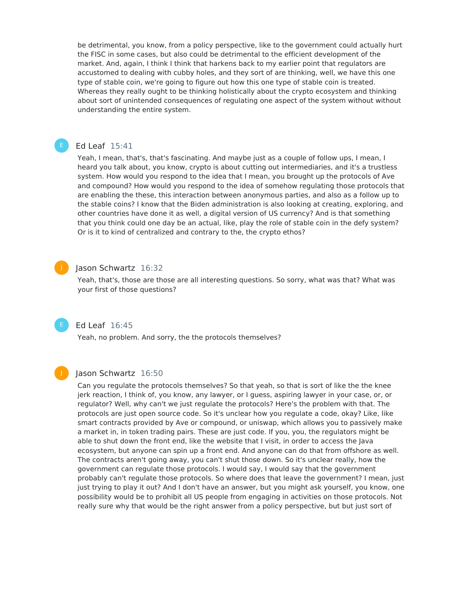be detrimental, you know, from a policy perspective, like to the government could actually hurt the FISC in some cases, but also could be detrimental to the efficient development of the market. And, again, I think I think that harkens back to my earlier point that regulators are accustomed to dealing with cubby holes, and they sort of are thinking, well, we have this one type of stable coin, we're going to figure out how this one type of stable coin is treated. Whereas they really ought to be thinking holistically about the crypto ecosystem and thinking about sort of unintended consequences of regulating one aspect of the system without without understanding the entire system.

# Ed Leaf 15:41

Yeah, I mean, that's, that's fascinating. And maybe just as a couple of follow ups, I mean, I heard you talk about, you know, crypto is about cutting out intermediaries, and it's a trustless system. How would you respond to the idea that I mean, you brought up the protocols of Ave and compound? How would you respond to the idea of somehow regulating those protocols that are enabling the these, this interaction between anonymous parties, and also as a follow up to the stable coins? I know that the Biden administration is also looking at creating, exploring, and other countries have done it as well, a digital version of US currency? And is that something that you think could one day be an actual, like, play the role of stable coin in the defy system? Or is it to kind of centralized and contrary to the, the crypto ethos?

# J

#### Jason Schwartz 16:32

Yeah, that's, those are those are all interesting questions. So sorry, what was that? What was your first of those questions?



# Ed Leaf 16:45

Yeah, no problem. And sorry, the the protocols themselves?



# Jason Schwartz 16:50

Can you regulate the protocols themselves? So that yeah, so that is sort of like the the knee jerk reaction, I think of, you know, any lawyer, or I guess, aspiring lawyer in your case, or, or regulator? Well, why can't we just regulate the protocols? Here's the problem with that. The protocols are just open source code. So it's unclear how you regulate a code, okay? Like, like smart contracts provided by Ave or compound, or uniswap, which allows you to passively make a market in, in token trading pairs. These are just code. If you, you, the regulators might be able to shut down the front end, like the website that I visit, in order to access the Java ecosystem, but anyone can spin up a front end. And anyone can do that from offshore as well. The contracts aren't going away, you can't shut those down. So it's unclear really, how the government can regulate those protocols. I would say, I would say that the government probably can't regulate those protocols. So where does that leave the government? I mean, just just trying to play it out? And I don't have an answer, but you might ask yourself, you know, one possibility would be to prohibit all US people from engaging in activities on those protocols. Not really sure why that would be the right answer from a policy perspective, but but just sort of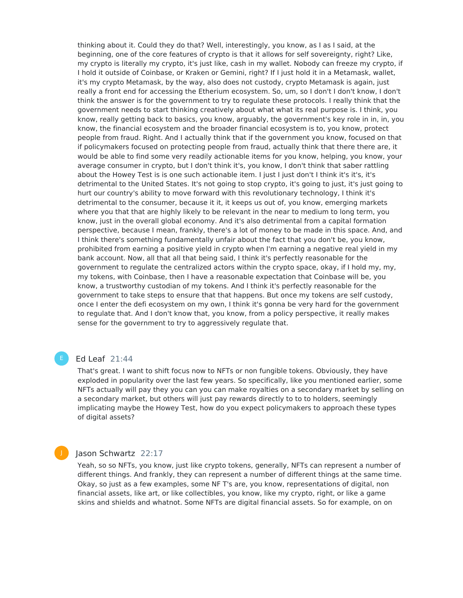thinking about it. Could they do that? Well, interestingly, you know, as I as I said, at the beginning, one of the core features of crypto is that it allows for self sovereignty, right? Like, my crypto is literally my crypto, it's just like, cash in my wallet. Nobody can freeze my crypto, if I hold it outside of Coinbase, or Kraken or Gemini, right? If I just hold it in a Metamask, wallet, it's my crypto Metamask, by the way, also does not custody, crypto Metamask is again, just really a front end for accessing the Etherium ecosystem. So, um, so I don't I don't know, I don't think the answer is for the government to try to regulate these protocols. I really think that the government needs to start thinking creatively about what what its real purpose is. I think, you know, really getting back to basics, you know, arguably, the government's key role in in, in, you know, the financial ecosystem and the broader financial ecosystem is to, you know, protect people from fraud. Right. And I actually think that if the government you know, focused on that if policymakers focused on protecting people from fraud, actually think that there there are, it would be able to find some very readily actionable items for you know, helping, you know, your average consumer in crypto, but I don't think it's, you know, I don't think that saber rattling about the Howey Test is is one such actionable item. I just I just don't I think it's it's, it's detrimental to the United States. It's not going to stop crypto, it's going to just, it's just going to hurt our country's ability to move forward with this revolutionary technology, I think it's detrimental to the consumer, because it it, it keeps us out of, you know, emerging markets where you that that are highly likely to be relevant in the near to medium to long term, you know, just in the overall global economy. And it's also detrimental from a capital formation perspective, because I mean, frankly, there's a lot of money to be made in this space. And, and I think there's something fundamentally unfair about the fact that you don't be, you know, prohibited from earning a positive yield in crypto when I'm earning a negative real yield in my bank account. Now, all that all that being said, I think it's perfectly reasonable for the government to regulate the centralized actors within the crypto space, okay, if I hold my, my, my tokens, with Coinbase, then I have a reasonable expectation that Coinbase will be, you know, a trustworthy custodian of my tokens. And I think it's perfectly reasonable for the government to take steps to ensure that that happens. But once my tokens are self custody, once I enter the defi ecosystem on my own, I think it's gonna be very hard for the government to regulate that. And I don't know that, you know, from a policy perspective, it really makes sense for the government to try to aggressively regulate that.

# Ed Leaf 21:44

That's great. I want to shift focus now to NFTs or non fungible tokens. Obviously, they have exploded in popularity over the last few years. So specifically, like you mentioned earlier, some NFTs actually will pay they you can you can make royalties on a secondary market by selling on a secondary market, but others will just pay rewards directly to to to holders, seemingly implicating maybe the Howey Test, how do you expect policymakers to approach these types of digital assets?

# Jason Schwartz 22:17

Yeah, so so NFTs, you know, just like crypto tokens, generally, NFTs can represent a number of different things. And frankly, they can represent a number of different things at the same time. Okay, so just as a few examples, some NF T's are, you know, representations of digital, non financial assets, like art, or like collectibles, you know, like my crypto, right, or like a game skins and shields and whatnot. Some NFTs are digital financial assets. So for example, on on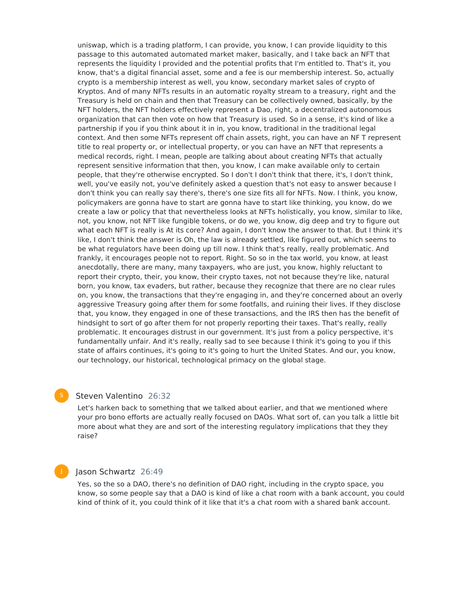uniswap, which is a trading platform, I can provide, you know, I can provide liquidity to this passage to this automated automated market maker, basically, and I take back an NFT that represents the liquidity I provided and the potential profits that I'm entitled to. That's it, you know, that's a digital financial asset, some and a fee is our membership interest. So, actually crypto is a membership interest as well, you know, secondary market sales of crypto of Kryptos. And of many NFTs results in an automatic royalty stream to a treasury, right and the Treasury is held on chain and then that Treasury can be collectively owned, basically, by the NFT holders, the NFT holders effectively represent a Dao, right, a decentralized autonomous organization that can then vote on how that Treasury is used. So in a sense, it's kind of like a partnership if you if you think about it in in, you know, traditional in the traditional legal context. And then some NFTs represent off chain assets, right, you can have an NF T represent title to real property or, or intellectual property, or you can have an NFT that represents a medical records, right. I mean, people are talking about about creating NFTs that actually represent sensitive information that then, you know, I can make available only to certain people, that they're otherwise encrypted. So I don't I don't think that there, it's, I don't think, well, you've easily not, you've definitely asked a question that's not easy to answer because I don't think you can really say there's, there's one size fits all for NFTs. Now. I think, you know, policymakers are gonna have to start are gonna have to start like thinking, you know, do we create a law or policy that that nevertheless looks at NFTs holistically, you know, similar to like, not, you know, not NFT like fungible tokens, or do we, you know, dig deep and try to figure out what each NFT is really is At its core? And again, I don't know the answer to that. But I think it's like, I don't think the answer is Oh, the law is already settled, like figured out, which seems to be what regulators have been doing up till now. I think that's really, really problematic. And frankly, it encourages people not to report. Right. So so in the tax world, you know, at least anecdotally, there are many, many taxpayers, who are just, you know, highly reluctant to report their crypto, their, you know, their crypto taxes, not not because they're like, natural born, you know, tax evaders, but rather, because they recognize that there are no clear rules on, you know, the transactions that they're engaging in, and they're concerned about an overly aggressive Treasury going after them for some footfalls, and ruining their lives. If they disclose that, you know, they engaged in one of these transactions, and the IRS then has the benefit of hindsight to sort of go after them for not properly reporting their taxes. That's really, really problematic. It encourages distrust in our government. It's just from a policy perspective, it's fundamentally unfair. And it's really, really sad to see because I think it's going to you if this state of affairs continues, it's going to it's going to hurt the United States. And our, you know, our technology, our historical, technological primacy on the global stage.

# Steven Valentino 26:32

Let's harken back to something that we talked about earlier, and that we mentioned where your pro bono efforts are actually really focused on DAOs. What sort of, can you talk a little bit more about what they are and sort of the interesting regulatory implications that they they raise?

# Jason Schwartz 26:49

Yes, so the so a DAO, there's no definition of DAO right, including in the crypto space, you know, so some people say that a DAO is kind of like a chat room with a bank account, you could kind of think of it, you could think of it like that it's a chat room with a shared bank account.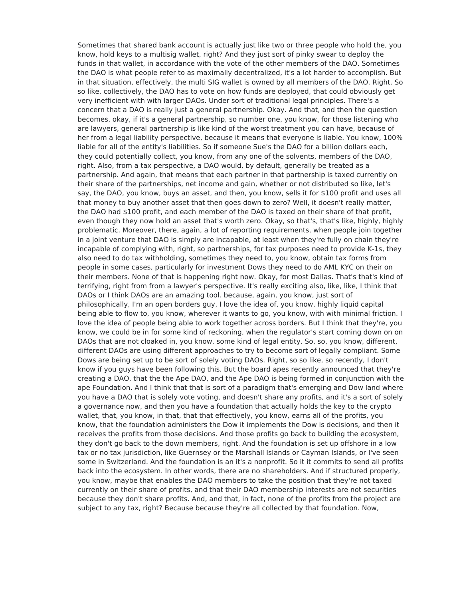Sometimes that shared bank account is actually just like two or three people who hold the, you know, hold keys to a multisig wallet, right? And they just sort of pinky swear to deploy the funds in that wallet, in accordance with the vote of the other members of the DAO. Sometimes the DAO is what people refer to as maximally decentralized, it's a lot harder to accomplish. But in that situation, effectively, the multi SIG wallet is owned by all members of the DAO. Right. So so like, collectively, the DAO has to vote on how funds are deployed, that could obviously get very inefficient with with larger DAOs. Under sort of traditional legal principles. There's a concern that a DAO is really just a general partnership. Okay. And that, and then the question becomes, okay, if it's a general partnership, so number one, you know, for those listening who are lawyers, general partnership is like kind of the worst treatment you can have, because of her from a legal liability perspective, because it means that everyone is liable. You know, 100% liable for all of the entity's liabilities. So if someone Sue's the DAO for a billion dollars each, they could potentially collect, you know, from any one of the solvents, members of the DAO, right. Also, from a tax perspective, a DAO would, by default, generally be treated as a partnership. And again, that means that each partner in that partnership is taxed currently on their share of the partnerships, net income and gain, whether or not distributed so like, let's say, the DAO, you know, buys an asset, and then, you know, sells it for \$100 profit and uses all that money to buy another asset that then goes down to zero? Well, it doesn't really matter, the DAO had \$100 profit, and each member of the DAO is taxed on their share of that profit, even though they now hold an asset that's worth zero. Okay, so that's, that's like, highly, highly problematic. Moreover, there, again, a lot of reporting requirements, when people join together in a joint venture that DAO is simply are incapable, at least when they're fully on chain they're incapable of complying with, right, so partnerships, for tax purposes need to provide K-1s, they also need to do tax withholding, sometimes they need to, you know, obtain tax forms from people in some cases, particularly for investment Dows they need to do AML KYC on their on their members. None of that is happening right now. Okay, for most Dallas. That's that's kind of terrifying, right from from a lawyer's perspective. It's really exciting also, like, like, I think that DAOs or I think DAOs are an amazing tool. because, again, you know, just sort of philosophically, I'm an open borders guy, I love the idea of, you know, highly liquid capital being able to flow to, you know, wherever it wants to go, you know, with with minimal friction. I love the idea of people being able to work together across borders. But I think that they're, you know, we could be in for some kind of reckoning, when the regulator's start coming down on on DAOs that are not cloaked in, you know, some kind of legal entity. So, so, you know, different, different DAOs are using different approaches to try to become sort of legally compliant. Some Dows are being set up to be sort of solely voting DAOs. Right, so so like, so recently, I don't know if you guys have been following this. But the board apes recently announced that they're creating a DAO, that the the Ape DAO, and the Ape DAO is being formed in conjunction with the ape Foundation. And I think that that is sort of a paradigm that's emerging and Dow land where you have a DAO that is solely vote voting, and doesn't share any profits, and it's a sort of solely a governance now, and then you have a foundation that actually holds the key to the crypto wallet, that, you know, in that, that that effectively, you know, earns all of the profits, you know, that the foundation administers the Dow it implements the Dow is decisions, and then it receives the profits from those decisions. And those profits go back to building the ecosystem, they don't go back to the down members, right. And the foundation is set up offshore in a low tax or no tax jurisdiction, like Guernsey or the Marshall Islands or Cayman Islands, or I've seen some in Switzerland. And the foundation is an it's a nonprofit. So it it commits to send all profits back into the ecosystem. In other words, there are no shareholders. And if structured properly, you know, maybe that enables the DAO members to take the position that they're not taxed currently on their share of profits, and that their DAO membership interests are not securities because they don't share profits. And, and that, in fact, none of the profits from the project are subject to any tax, right? Because because they're all collected by that foundation. Now,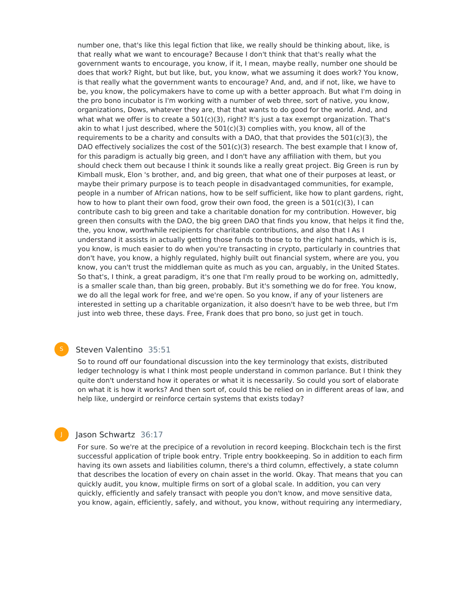number one, that's like this legal fiction that like, we really should be thinking about, like, is that really what we want to encourage? Because I don't think that that's really what the government wants to encourage, you know, if it, I mean, maybe really, number one should be does that work? Right, but but like, but, you know, what we assuming it does work? You know, is that really what the government wants to encourage? And, and, and if not, like, we have to be, you know, the policymakers have to come up with a better approach. But what I'm doing in the pro bono incubator is I'm working with a number of web three, sort of native, you know, organizations, Dows, whatever they are, that that wants to do good for the world. And, and what what we offer is to create a 501(c)(3), right? It's just a tax exempt organization. That's akin to what I just described, where the  $501(c)(3)$  complies with, you know, all of the requirements to be a charity and consults with a DAO, that that provides the  $501(c)(3)$ , the DAO effectively socializes the cost of the  $501(c)(3)$  research. The best example that I know of, for this paradigm is actually big green, and I don't have any affiliation with them, but you should check them out because I think it sounds like a really great project. Big Green is run by Kimball musk, Elon 's brother, and, and big green, that what one of their purposes at least, or maybe their primary purpose is to teach people in disadvantaged communities, for example, people in a number of African nations, how to be self sufficient, like how to plant gardens, right, how to how to plant their own food, grow their own food, the green is a  $501(c)(3)$ , I can contribute cash to big green and take a charitable donation for my contribution. However, big green then consults with the DAO, the big green DAO that finds you know, that helps it find the, the, you know, worthwhile recipients for charitable contributions, and also that I As I understand it assists in actually getting those funds to those to to the right hands, which is is, you know, is much easier to do when you're transacting in crypto, particularly in countries that don't have, you know, a highly regulated, highly built out financial system, where are you, you know, you can't trust the middleman quite as much as you can, arguably, in the United States. So that's, I think, a great paradigm, it's one that I'm really proud to be working on, admittedly, is a smaller scale than, than big green, probably. But it's something we do for free. You know, we do all the legal work for free, and we're open. So you know, if any of your listeners are interested in setting up a charitable organization, it also doesn't have to be web three, but I'm just into web three, these days. Free, Frank does that pro bono, so just get in touch.

### Steven Valentino 35:51

So to round off our foundational discussion into the key terminology that exists, distributed ledger technology is what I think most people understand in common parlance. But I think they quite don't understand how it operates or what it is necessarily. So could you sort of elaborate on what it is how it works? And then sort of, could this be relied on in different areas of law, and help like, undergird or reinforce certain systems that exists today?

### Jason Schwartz 36:17

For sure. So we're at the precipice of a revolution in record keeping. Blockchain tech is the first successful application of triple book entry. Triple entry bookkeeping. So in addition to each firm having its own assets and liabilities column, there's a third column, effectively, a state column that describes the location of every on chain asset in the world. Okay. That means that you can quickly audit, you know, multiple firms on sort of a global scale. In addition, you can very quickly, efficiently and safely transact with people you don't know, and move sensitive data, you know, again, efficiently, safely, and without, you know, without requiring any intermediary,